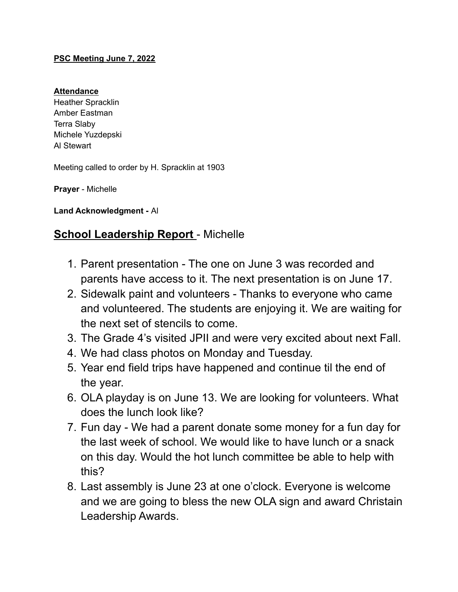#### **PSC Meeting June 7, 2022**

#### **Attendance**

Heather Spracklin Amber Eastman Terra Slaby Michele Yuzdepski Al Stewart

Meeting called to order by H. Spracklin at 1903

**Prayer** - Michelle

**Land Acknowledgment -** Al

# **School Leadership Report** - Michelle

- 1. Parent presentation The one on June 3 was recorded and parents have access to it. The next presentation is on June 17.
- 2. Sidewalk paint and volunteers Thanks to everyone who came and volunteered. The students are enjoying it. We are waiting for the next set of stencils to come.
- 3. The Grade 4's visited JPII and were very excited about next Fall.
- 4. We had class photos on Monday and Tuesday.
- 5. Year end field trips have happened and continue til the end of the year.
- 6. OLA playday is on June 13. We are looking for volunteers. What does the lunch look like?
- 7. Fun day We had a parent donate some money for a fun day for the last week of school. We would like to have lunch or a snack on this day. Would the hot lunch committee be able to help with this?
- 8. Last assembly is June 23 at one o'clock. Everyone is welcome and we are going to bless the new OLA sign and award Christain Leadership Awards.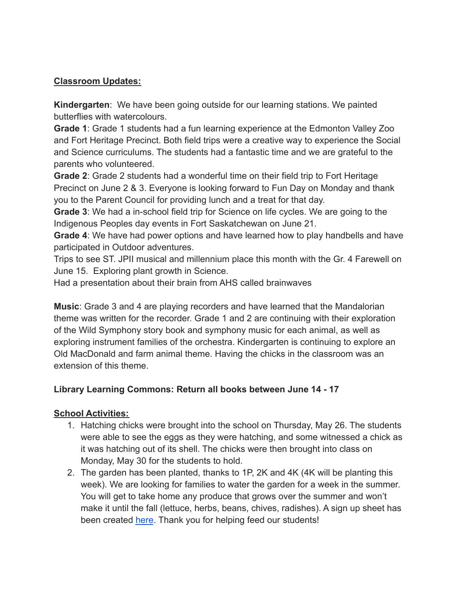## **Classroom Updates:**

**Kindergarten**: We have been going outside for our learning stations. We painted butterflies with watercolours.

**Grade 1**: Grade 1 students had a fun learning experience at the Edmonton Valley Zoo and Fort Heritage Precinct. Both field trips were a creative way to experience the Social and Science curriculums. The students had a fantastic time and we are grateful to the parents who volunteered.

**Grade 2**: Grade 2 students had a wonderful time on their field trip to Fort Heritage Precinct on June 2 & 3. Everyone is looking forward to Fun Day on Monday and thank you to the Parent Council for providing lunch and a treat for that day.

**Grade 3**: We had a in-school field trip for Science on life cycles. We are going to the Indigenous Peoples day events in Fort Saskatchewan on June 21.

**Grade 4**: We have had power options and have learned how to play handbells and have participated in Outdoor adventures.

Trips to see ST. JPII musical and millennium place this month with the Gr. 4 Farewell on June 15. Exploring plant growth in Science.

Had a presentation about their brain from AHS called brainwaves

**Music**: Grade 3 and 4 are playing recorders and have learned that the Mandalorian theme was written for the recorder. Grade 1 and 2 are continuing with their exploration of the Wild Symphony story book and symphony music for each animal, as well as exploring instrument families of the orchestra. Kindergarten is continuing to explore an Old MacDonald and farm animal theme. Having the chicks in the classroom was an extension of this theme.

## **Library Learning Commons: Return all books between June 14 - 17**

## **School Activities:**

- 1. Hatching chicks were brought into the school on Thursday, May 26. The students were able to see the eggs as they were hatching, and some witnessed a chick as it was hatching out of its shell. The chicks were then brought into class on Monday, May 30 for the students to hold.
- 2. The garden has been planted, thanks to 1P, 2K and 4K (4K will be planting this week). We are looking for families to water the garden for a week in the summer. You will get to take home any produce that grows over the summer and won't make it until the fall (lettuce, herbs, beans, chives, radishes). A sign up sheet has been created [here](https://docs.google.com/document/d/1-k5JZN7cly7mzQC7iyubgGhEBBfknHbIXKk3Q8GFxkU/edit). Thank you for helping feed our students!